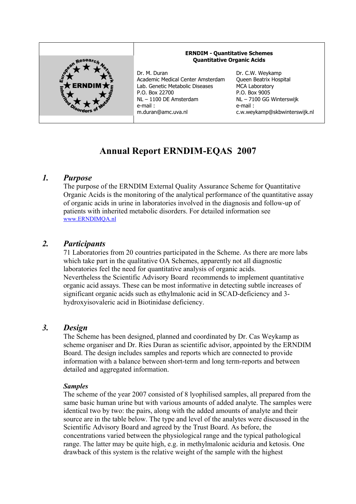

# **Annual Report ERNDIM-EQAS 2007**

## *1. Purpose*

The purpose of the ERNDIM External Quality Assurance Scheme for Quantitative Organic Acids is the monitoring of the analytical performance of the quantitative assay of organic acids in urine in laboratories involved in the diagnosis and follow-up of patients with inherited metabolic disorders. For detailed information see www.ERNDIMQA.nl

## *2. Participants*

71 Laboratories from 20 countries participated in the Scheme. As there are more labs which take part in the qualitative OA Schemes, apparently not all diagnostic laboratories feel the need for quantitative analysis of organic acids. Nevertheless the Scientific Advisory Board recommends to implement quantitative organic acid assays. These can be most informative in detecting subtle increases of significant organic acids such as ethylmalonic acid in SCAD-deficiency and 3 hydroxyisovaleric acid in Biotinidase deficiency.

## *3. Design*

The Scheme has been designed, planned and coordinated by Dr. Cas Weykamp as scheme organiser and Dr. Ries Duran as scientific advisor, appointed by the ERNDIM Board. The design includes samples and reports which are connected to provide information with a balance between short-term and long term-reports and between detailed and aggregated information.

#### *Samples*

The scheme of the year 2007 consisted of 8 lyophilised samples, all prepared from the same basic human urine but with various amounts of added analyte. The samples were identical two by two: the pairs, along with the added amounts of analyte and their source are in the table below. The type and level of the analytes were discussed in the Scientific Advisory Board and agreed by the Trust Board. As before, the concentrations varied between the physiological range and the typical pathological range. The latter may be quite high, e.g. in methylmalonic aciduria and ketosis. One drawback of this system is the relative weight of the sample with the highest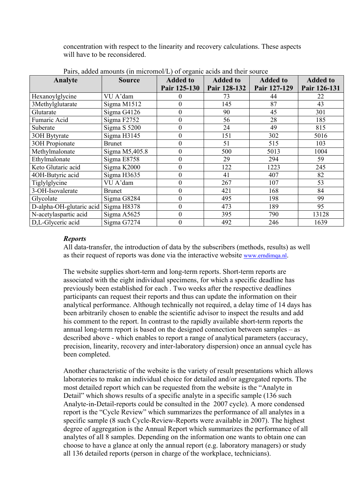concentration with respect to the linearity and recovery calculations. These aspects will have to be reconsidered.

| Analyte                  | <b>Source</b>  | <b>Added to</b>  | <b>Added to</b> | <b>Added to</b> | <b>Added to</b> |
|--------------------------|----------------|------------------|-----------------|-----------------|-----------------|
|                          |                | Pair 125-130     | Pair 128-132    | Pair 127-129    | Pair 126-131    |
| Hexanoylglycine          | VU A'dam       | $_{0}$           | 73              | 44              | 22              |
| 3Methylglutarate         | Sigma M1512    | $\boldsymbol{0}$ | 145             | 87              | 43              |
| Glutarate                | Sigma G4126    | $\boldsymbol{0}$ | 90              | 45              | 301             |
| Fumaric Acid             | Sigma F2752    | $\mathbf{0}$     | 56              | 28              | 185             |
| Suberate                 | Sigma S 5200   | $\boldsymbol{0}$ | 24              | 49              | 815             |
| 30H Bytyrate             | Sigma H3145    | $\boldsymbol{0}$ | 151             | 302             | 5016            |
| 3OH Propionate           | <b>Brunet</b>  | $\mathbf{0}$     | 51              | 515             | 103             |
| Methylmalonate           | Sigma M5,405.8 | $\boldsymbol{0}$ | 500             | 5013            | 1004            |
| Ethylmalonate            | Sigma E8758    | $\boldsymbol{0}$ | 29              | 294             | 59              |
| Keto Glutaric acid       | Sigma K2000    | $\boldsymbol{0}$ | 122             | 1223            | 245             |
| 4OH-Butyric acid         | Sigma H3635    | $\boldsymbol{0}$ | 41              | 407             | 82              |
| Tiglylglycine            | VU A'dam       | $\boldsymbol{0}$ | 267             | 107             | 53              |
| 3-OH-Isovalerate         | <b>Brunet</b>  | $\theta$         | 421             | 168             | 84              |
| Glycolate                | Sigma G8284    | $\boldsymbol{0}$ | 495             | 198             | 99              |
| D-alpha-OH-glutaric acid | Sigma H8378    | $\Omega$         | 473             | 189             | 95              |
| N-acetylaspartic acid    | Sigma A5625    | $\theta$         | 395             | 790             | 13128           |
| D.L-Glyceric acid        | Sigma G7274    | $\mathbf{0}$     | 492             | 246             | 1639            |

Pairs, added amounts (in micromol/L) of organic acids and their source

#### *Reports*

All data-transfer, the introduction of data by the subscribers (methods, results) as well as their request of reports was done via the interactive website www.erndimqa.nl.

The website supplies short-term and long-term reports. Short-term reports are associated with the eight individual specimens, for which a specific deadline has previously been established for each . Two weeks after the respective deadlines participants can request their reports and thus can update the information on their analytical performance. Although technically not required, a delay time of 14 days has been arbitrarily chosen to enable the scientific advisor to inspect the results and add his comment to the report. In contrast to the rapidly available short-term reports the annual long-term report is based on the designed connection between samples – as described above - which enables to report a range of analytical parameters (accuracy, precision, linearity, recovery and inter-laboratory dispersion) once an annual cycle has been completed.

Another characteristic of the website is the variety of result presentations which allows laboratories to make an individual choice for detailed and/or aggregated reports. The most detailed report which can be requested from the website is the "Analyte in Detail" which shows results of a specific analyte in a specific sample (136 such Analyte-in-Detail-reports could be consulted in the 2007 cycle). A more condensed report is the "Cycle Review" which summarizes the performance of all analytes in a specific sample (8 such Cycle-Review-Reports were available in 2007). The highest degree of aggregation is the Annual Report which summarizes the performance of all analytes of all 8 samples. Depending on the information one wants to obtain one can choose to have a glance at only the annual report (e.g. laboratory managers) or study all 136 detailed reports (person in charge of the workplace, technicians).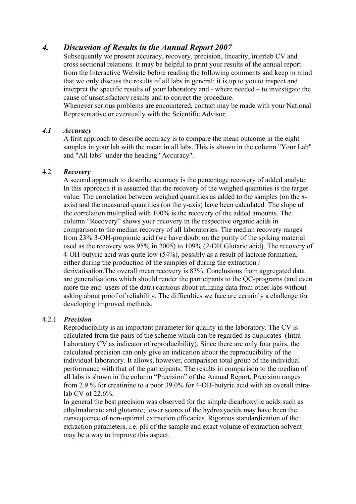# *4. Discussion of Results in the Annual Report 2007*

Subsequently we present accuracy, recovery, precision, linearity, interlab CV and cross sectional relations. It may be helpful to print your results of the annual report from the Interactive Website before reading the following comments and keep in mind that we only discuss the results of all labs in general: it is up to you to inspect and interpret the specific results of your laboratory and - where needed – to investigate the cause of unsatisfactory results and to correct the procedure.

Whenever serious problems are encountered, contact may be made with your National Representative or eventually with the Scientific Advisor.

#### *4.1 Accuracy*

A first approach to describe accuracy is to compare the mean outcome in the eight samples in your lab with the mean in all labs. This is shown in the column "Your Lab" and "All labs" under the heading "Accuracy".

#### 4.2 *Recovery*

A second approach to describe accuracy is the percentage recovery of added analyte. In this approach it is assumed that the recovery of the weighed quantities is the target value. The correlation between weighed quantities as added to the samples (on the xaxis) and the measured quantities (on the y-axis) have been calculated. The slope of the correlation multiplied with 100% is the recovery of the added amounts. The column "Recovery" shows your recovery in the respective organic acids in comparison to the median recovery of all laboratories. The median recovery ranges from 23% 3-OH-propionic acid (we have doubt on the purity of the spiking material used as the recovery was 95% in 2005) to 109% (2-OH Glutaric acid). The recovery of 4-OH-butyric acid was quite low (54%), possibly as a result of lactone formation, either during the production of the samples of during the extraction / derivatisation.The overall mean recovery is 83%. Conclusions from aggregated data are generalisations which should render the participants to the QC-programs (and even more the end- users of the data) cautious about utilizing data from other labs without asking about proof of reliability. The difficulties we face are certainly a challenge for developing improved methods.

#### 4.2.1 *Precision*

Reproducibility is an important parameter for quality in the laboratory. The CV is calculated from the pairs of the scheme which can be regarded as duplicates (Intra Laboratory CV as indicator of reproducibility). Since there are only four pairs, the calculated precision can only give an indication about the reproducibility of the individual laboratory. It allows, however, comparison total group of the individual performance with that of the participants. The results in comparison to the median of all labs is shown in the column "Precision" of the Annual Report. Precision ranges from 2.9 % for creatinine to a poor 39.0% for 4-OH-butyric acid with an overall intralab CV of 22.6%.

In general the best precision was observed for the simple dicarboxylic acids such as ethylmalonate and glutarate; lower scores of the hydroxyacids may have been the consequence of non-optimal extraction efficacies. Rigorous standardization of the extraction parameters, i.e. pH of the sample and exact volume of extraction solvent may be a way to improve this aspect.